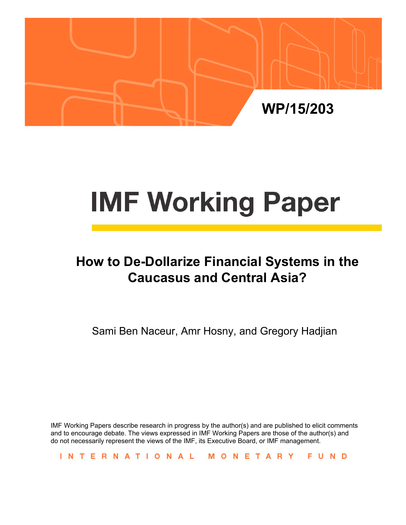

# **IMF Working Paper**

# **How to De-Dollarize Financial Systems in the Caucasus and Central Asia?**

Sami Ben Naceur, Amr Hosny, and Gregory Hadjian

IMF Working Papers describe research in progress by the author(s) and are published to elicit comments and to encourage debate. The views expressed in IMF Working Papers are those of the author(s) and do not necessarily represent the views of the IMF, its Executive Board, or IMF management.

INTERNATIONAL MONETARY FUND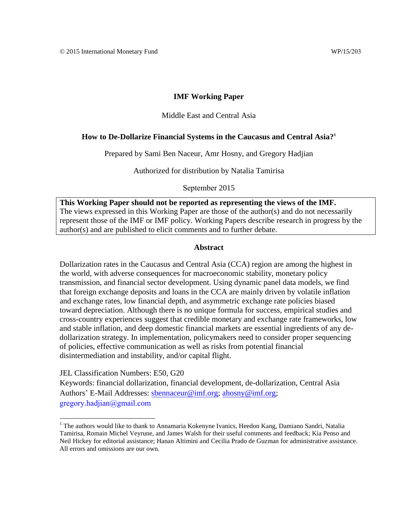#### **IMF Working Paper**

#### Middle East and Central Asia

#### **How to De-Dollarize Financial Systems in the Caucasus and Central Asia?<sup>1</sup>**

Prepared by Sami Ben Naceur, Amr Hosny, and Gregory Hadjian

Authorized for distribution by Natalia Tamirisa

September 2015

**This Working Paper should not be reported as representing the views of the IMF.** The views expressed in this Working Paper are those of the author(s) and do not necessarily represent those of the IMF or IMF policy. Working Papers describe research in progress by the author(s) and are published to elicit comments and to further debate.

#### **Abstract**

Dollarization rates in the Caucasus and Central Asia (CCA) region are among the highest in the world, with adverse consequences for macroeconomic stability, monetary policy transmission, and financial sector development. Using dynamic panel data models, we find that foreign exchange deposits and loans in the CCA are mainly driven by volatile inflation and exchange rates, low financial depth, and asymmetric exchange rate policies biased toward depreciation. Although there is no unique formula for success, empirical studies and cross-country experiences suggest that credible monetary and exchange rate frameworks, low and stable inflation, and deep domestic financial markets are essential ingredients of any dedollarization strategy. In implementation, policymakers need to consider proper sequencing of policies, effective communication as well as risks from potential financial disintermediation and instability, and/or capital flight.

JEL Classification Numbers: E50, G20

Keywords: financial dollarization, financial development, de-dollarization, Central Asia Authors' E-Mail Addresses: [sbennaceur@imf.org;](mailto:sbennaceur@imf.org) [ahosny@imf.org;](mailto:ahosny@imf.org) [gregory.hadjian@gmail.com](mailto:ghadjian@loomissayles.com)

<sup>&</sup>lt;sup>1</sup> The authors would like to thank to Annamaria Kokenyne Ivanics, Heedon Kang, Damiano Sandri, Natalia Tamirisa, Romain Michel Veyrune, and James Walsh for their useful comments and feedback; Kia Penso and Neil Hickey for editorial assistance; Hanan Altimini and Cecilia Prado de Guzman for administrative assistance. All errors and omissions are our own.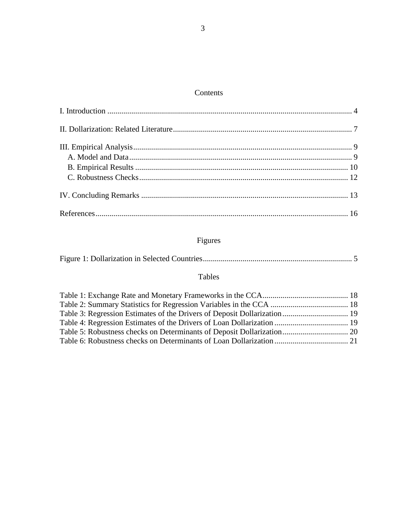## Contents

# Figures

|--|--|--|

## Tables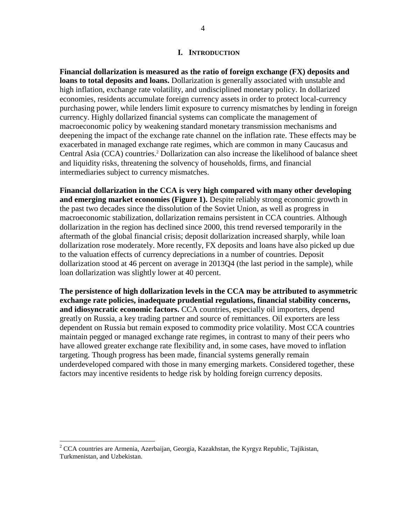#### **I. INTRODUCTION**

<span id="page-3-0"></span>**Financial dollarization is measured as the ratio of foreign exchange (FX) deposits and loans to total deposits and loans.** Dollarization is generally associated with unstable and high inflation, exchange rate volatility, and undisciplined monetary policy. In dollarized economies, residents accumulate foreign currency assets in order to protect local-currency purchasing power, while lenders limit exposure to currency mismatches by lending in foreign currency. Highly dollarized financial systems can complicate the management of macroeconomic policy by weakening standard monetary transmission mechanisms and deepening the impact of the exchange rate channel on the inflation rate. These effects may be exacerbated in managed exchange rate regimes, which are common in many Caucasus and Central Asia (CCA) countries.<sup>2</sup> Dollarization can also increase the likelihood of balance sheet and liquidity risks, threatening the solvency of households, firms, and financial intermediaries subject to currency mismatches.

**Financial dollarization in the CCA is very high compared with many other developing and emerging market economies (Figure 1).** Despite reliably strong economic growth in the past two decades since the dissolution of the Soviet Union, as well as progress in macroeconomic stabilization, dollarization remains persistent in CCA countries. Although dollarization in the region has declined since 2000, this trend reversed temporarily in the aftermath of the global financial crisis; deposit dollarization increased sharply, while loan dollarization rose moderately. More recently, FX deposits and loans have also picked up due to the valuation effects of currency depreciations in a number of countries. Deposit dollarization stood at 46 percent on average in 2013Q4 (the last period in the sample), while loan dollarization was slightly lower at 40 percent.

**The persistence of high dollarization levels in the CCA may be attributed to asymmetric exchange rate policies, inadequate prudential regulations, financial stability concerns, and idiosyncratic economic factors.** CCA countries, especially oil importers, depend greatly on Russia, a key trading partner and source of remittances. Oil exporters are less dependent on Russia but remain exposed to commodity price volatility. Most CCA countries maintain pegged or managed exchange rate regimes, in contrast to many of their peers who have allowed greater exchange rate flexibility and, in some cases, have moved to inflation targeting. Though progress has been made, financial systems generally remain underdeveloped compared with those in many emerging markets. Considered together, these factors may incentive residents to hedge risk by holding foreign currency deposits.

 $\overline{a}$ 

<sup>&</sup>lt;sup>2</sup> CCA countries are Armenia, Azerbaijan, Georgia, Kazakhstan, the Kyrgyz Republic, Tajikistan, Turkmenistan, and Uzbekistan.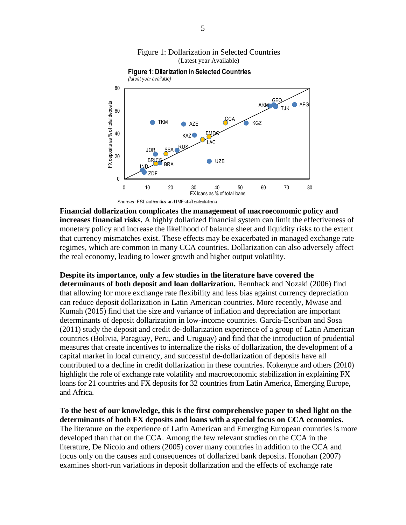<span id="page-4-0"></span>

TKM  $_{\text{AZE}}$   $_{\text{XZE}}$  KGZ

LAC

EMD<sub>®</sub>

UZB

0 10 20 30 40 50 60 70 80

FX loans as % of total loans

# Figure 1: Dollarization in Selected Countries

**Financial dollarization complicates the management of macroeconomic policy and increases financial risks.** A highly dollarized financial system can limit the effectiveness of monetary policy and increase the likelihood of balance sheet and liquidity risks to the extent that currency mismatches exist. These effects may be exacerbated in managed exchange rate regimes, which are common in many CCA countries. Dollarization can also adversely affect the real economy, leading to lower growth and higher output volatility.

**Despite its importance, only a few studies in the literature have covered the** 

KAZ<sup>O</sup>

RUS

AZE

JOR

ZDF

0

20

40

FX deposits as % of total deposits

FX deposits as % of total deposits

60

80

**BRIC** 

**BRA** 

Sources: FSI, authorities and IMF staff calculations

SSA

**determinants of both deposit and loan dollarization.** Rennhack and Nozaki (2006) find that allowing for more exchange rate flexibility and less bias against currency depreciation can reduce deposit dollarization in Latin American countries. More recently, Mwase and Kumah (2015) find that the size and variance of inflation and depreciation are important determinants of deposit dollarization in low-income countries. García-Escriban and Sosa (2011) study the deposit and credit de-dollarization experience of a group of Latin American countries (Bolivia, Paraguay, Peru, and Uruguay) and find that the introduction of prudential measures that create incentives to internalize the risks of dollarization, the development of a capital market in local currency, and successful de-dollarization of deposits have all contributed to a decline in credit dollarization in these countries. Kokenyne and others (2010) highlight the role of exchange rate volatility and macroeconomic stabilization in explaining FX loans for 21 countries and FX deposits for 32 countries from Latin America, Emerging Europe, and Africa.

**To the best of our knowledge, this is the first comprehensive paper to shed light on the determinants of both FX deposits and loans with a special focus on CCA economies.** The literature on the experience of Latin American and Emerging European countries is more developed than that on the CCA. Among the few relevant studies on the CCA in the literature, De Nicolo and others (2005) cover many countries in addition to the CCA and focus only on the causes and consequences of dollarized bank deposits. Honohan (2007) examines short-run variations in deposit dollarization and the effects of exchange rate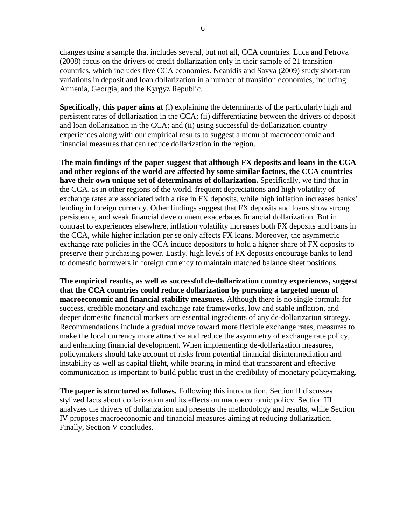changes using a sample that includes several, but not all, CCA countries. Luca and Petrova (2008) focus on the drivers of credit dollarization only in their sample of 21 transition countries, which includes five CCA economies. Neanidis and Savva (2009) study short-run variations in deposit and loan dollarization in a number of transition economies, including Armenia, Georgia, and the Kyrgyz Republic.

**Specifically, this paper aims at** (i) explaining the determinants of the particularly high and persistent rates of dollarization in the CCA; (ii) differentiating between the drivers of deposit and loan dollarization in the CCA; and (ii) using successful de-dollarization country experiences along with our empirical results to suggest a menu of macroeconomic and financial measures that can reduce dollarization in the region.

**The main findings of the paper suggest that although FX deposits and loans in the CCA and other regions of the world are affected by some similar factors, the CCA countries have their own unique set of determinants of dollarization.** Specifically, we find that in the CCA, as in other regions of the world, frequent depreciations and high volatility of exchange rates are associated with a rise in FX deposits, while high inflation increases banks' lending in foreign currency. Other findings suggest that FX deposits and loans show strong persistence, and weak financial development exacerbates financial dollarization. But in contrast to experiences elsewhere, inflation volatility increases both FX deposits and loans in the CCA, while higher inflation per se only affects FX loans. Moreover, the asymmetric exchange rate policies in the CCA induce depositors to hold a higher share of FX deposits to preserve their purchasing power. Lastly, high levels of FX deposits encourage banks to lend to domestic borrowers in foreign currency to maintain matched balance sheet positions.

**The empirical results, as well as successful de-dollarization country experiences, suggest that the CCA countries could reduce dollarization by pursuing a targeted menu of macroeconomic and financial stability measures.** Although there is no single formula for success, credible monetary and exchange rate frameworks, low and stable inflation, and deeper domestic financial markets are essential ingredients of any de-dollarization strategy. Recommendations include a gradual move toward more flexible exchange rates, measures to make the local currency more attractive and reduce the asymmetry of exchange rate policy, and enhancing financial development. When implementing de-dollarization measures, policymakers should take account of risks from potential financial disintermediation and instability as well as capital flight, while bearing in mind that transparent and effective communication is important to build public trust in the credibility of monetary policymaking.

**The paper is structured as follows.** Following this introduction, Section II discusses stylized facts about dollarization and its effects on macroeconomic policy. Section III analyzes the drivers of dollarization and presents the methodology and results, while Section IV proposes macroeconomic and financial measures aiming at reducing dollarization. Finally, Section V concludes.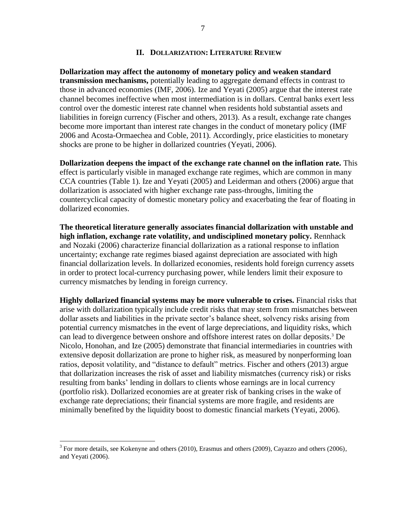#### **II. DOLLARIZATION: LITERATURE REVIEW**

<span id="page-6-0"></span>**Dollarization may affect the autonomy of monetary policy and weaken standard transmission mechanisms,** potentially leading to aggregate demand effects in contrast to those in advanced economies (IMF, 2006). Ize and Yeyati (2005) argue that the interest rate channel becomes ineffective when most intermediation is in dollars. Central banks exert less control over the domestic interest rate channel when residents hold substantial assets and liabilities in foreign currency (Fischer and others, 2013). As a result, exchange rate changes become more important than interest rate changes in the conduct of monetary policy (IMF 2006 and Acosta-Ormaechea and Coble, 2011). Accordingly, price elasticities to monetary shocks are prone to be higher in dollarized countries (Yeyati, 2006).

**Dollarization deepens the impact of the exchange rate channel on the inflation rate.** This effect is particularly visible in managed exchange rate regimes, which are common in many CCA countries (Table 1). Ize and Yeyati (2005) and Leiderman and others (2006) argue that dollarization is associated with higher exchange rate pass-throughs, limiting the countercyclical capacity of domestic monetary policy and exacerbating the fear of floating in dollarized economies.

**The theoretical literature generally associates financial dollarization with unstable and high inflation, exchange rate volatility, and undisciplined monetary policy.** Rennhack and Nozaki (2006) characterize financial dollarization as a rational response to inflation uncertainty; exchange rate regimes biased against depreciation are associated with high financial dollarization levels. In dollarized economies, residents hold foreign currency assets in order to protect local-currency purchasing power, while lenders limit their exposure to currency mismatches by lending in foreign currency.

**Highly dollarized financial systems may be more vulnerable to crises.** Financial risks that arise with dollarization typically include credit risks that may stem from mismatches between dollar assets and liabilities in the private sector's balance sheet, solvency risks arising from potential currency mismatches in the event of large depreciations, and liquidity risks, which can lead to divergence between onshore and offshore interest rates on dollar deposits.<sup>3</sup> De Nicolo, Honohan, and Ize (2005) demonstrate that financial intermediaries in countries with extensive deposit dollarization are prone to higher risk, as measured by nonperforming loan ratios, deposit volatility, and "distance to default" metrics. Fischer and others (2013) argue that dollarization increases the risk of asset and liability mismatches (currency risk) or risks resulting from banks' lending in dollars to clients whose earnings are in local currency (portfolio risk). Dollarized economies are at greater risk of banking crises in the wake of exchange rate depreciations; their financial systems are more fragile, and residents are minimally benefited by the liquidity boost to domestic financial markets (Yeyati, 2006).

 $\overline{a}$ 

 $3$  For more details, see Kokenyne and others (2010), Erasmus and others (2009), Cayazzo and others (2006), and Yeyati (2006).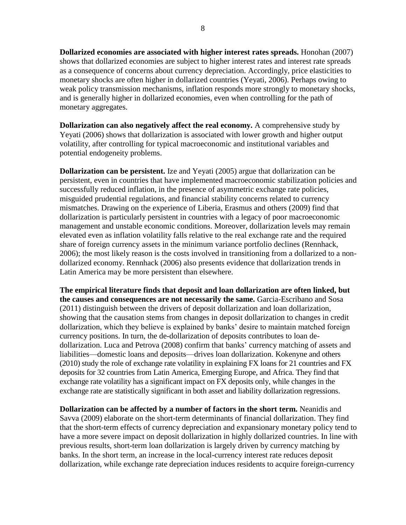**Dollarized economies are associated with higher interest rates spreads.** Honohan (2007) shows that dollarized economies are subject to higher interest rates and interest rate spreads as a consequence of concerns about currency depreciation. Accordingly, price elasticities to monetary shocks are often higher in dollarized countries (Yeyati, 2006). Perhaps owing to weak policy transmission mechanisms, inflation responds more strongly to monetary shocks, and is generally higher in dollarized economies, even when controlling for the path of monetary aggregates.

**Dollarization can also negatively affect the real economy.** A comprehensive study by Yeyati (2006) shows that dollarization is associated with lower growth and higher output volatility, after controlling for typical macroeconomic and institutional variables and potential endogeneity problems.

**Dollarization can be persistent.** Ize and Yeyati (2005) argue that dollarization can be persistent, even in countries that have implemented macroeconomic stabilization policies and successfully reduced inflation, in the presence of asymmetric exchange rate policies, misguided prudential regulations, and financial stability concerns related to currency mismatches. Drawing on the experience of Liberia, Erasmus and others (2009) find that dollarization is particularly persistent in countries with a legacy of poor macroeconomic management and unstable economic conditions. Moreover, dollarization levels may remain elevated even as inflation volatility falls relative to the real exchange rate and the required share of foreign currency assets in the minimum variance portfolio declines (Rennhack, 2006); the most likely reason is the costs involved in transitioning from a dollarized to a nondollarized economy. Rennhack (2006) also presents evidence that dollarization trends in Latin America may be more persistent than elsewhere.

**The empirical literature finds that deposit and loan dollarization are often linked, but the causes and consequences are not necessarily the same.** Garcia-Escribano and Sosa (2011) distinguish between the drivers of deposit dollarization and loan dollarization, showing that the causation stems from changes in deposit dollarization to changes in credit dollarization, which they believe is explained by banks' desire to maintain matched foreign currency positions. In turn, the de-dollarization of deposits contributes to loan dedollarization. Luca and Petrova (2008) confirm that banks' currency matching of assets and liabilities—domestic loans and deposits—drives loan dollarization. Kokenyne and others (2010) study the role of exchange rate volatility in explaining FX loans for 21 countries and FX deposits for 32 countries from Latin America, Emerging Europe, and Africa. They find that exchange rate volatility has a significant impact on FX deposits only, while changes in the exchange rate are statistically significant in both asset and liability dollarization regressions.

**Dollarization can be affected by a number of factors in the short term.** Neanidis and Savva (2009) elaborate on the short-term determinants of financial dollarization. They find that the short-term effects of currency depreciation and expansionary monetary policy tend to have a more severe impact on deposit dollarization in highly dollarized countries. In line with previous results, short-term loan dollarization is largely driven by currency matching by banks. In the short term, an increase in the local-currency interest rate reduces deposit dollarization, while exchange rate depreciation induces residents to acquire foreign-currency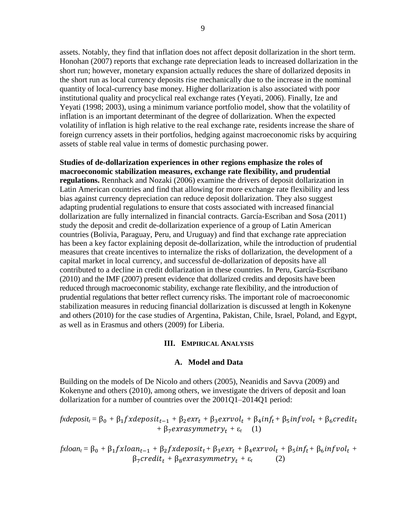assets. Notably, they find that inflation does not affect deposit dollarization in the short term. Honohan (2007) reports that exchange rate depreciation leads to increased dollarization in the short run; however, monetary expansion actually reduces the share of dollarized deposits in the short run as local currency deposits rise mechanically due to the increase in the nominal quantity of local-currency base money. Higher dollarization is also associated with poor institutional quality and procyclical real exchange rates (Yeyati, 2006). Finally, Ize and Yeyati (1998; 2003), using a minimum variance portfolio model, show that the volatility of inflation is an important determinant of the degree of dollarization. When the expected volatility of inflation is high relative to the real exchange rate, residents increase the share of foreign currency assets in their portfolios, hedging against macroeconomic risks by acquiring assets of stable real value in terms of domestic purchasing power.

**Studies of de-dollarization experiences in other regions emphasize the roles of macroeconomic stabilization measures, exchange rate flexibility, and prudential regulations.** Rennhack and Nozaki (2006) examine the drivers of deposit dollarization in Latin American countries and find that allowing for more exchange rate flexibility and less bias against currency depreciation can reduce deposit dollarization. They also suggest adapting prudential regulations to ensure that costs associated with increased financial dollarization are fully internalized in financial contracts. García-Escriban and Sosa (2011) study the deposit and credit de-dollarization experience of a group of Latin American countries (Bolivia, Paraguay, Peru, and Uruguay) and find that exchange rate appreciation has been a key factor explaining deposit de-dollarization, while the introduction of prudential measures that create incentives to internalize the risks of dollarization, the development of a capital market in local currency, and successful de-dollarization of deposits have all contributed to a decline in credit dollarization in these countries. In Peru, García-Escribano (2010) and the IMF (2007) present evidence that dollarized credits and deposits have been reduced through macroeconomic stability, exchange rate flexibility, and the introduction of prudential regulations that better reflect currency risks. The important role of macroeconomic stabilization measures in reducing financial dollarization is discussed at length in Kokenyne and others (2010) for the case studies of Argentina, Pakistan, Chile, Israel, Poland, and Egypt, as well as in Erasmus and others (2009) for Liberia.

#### **III. EMPIRICAL ANALYSIS**

#### **A. Model and Data**

<span id="page-8-1"></span><span id="page-8-0"></span>Building on the models of De Nicolo and others (2005), Neanidis and Savva (2009) and Kokenyne and others (2010), among others, we investigate the drivers of deposit and loan dollarization for a number of countries over the 2001Q1–2014Q1 period:

$$
f \mathbf{x} deposit_t = \beta_0 + \beta_1 f \mathbf{x} deposit_{t-1} + \beta_2 \mathbf{e} x r_t + \beta_3 \mathbf{e} x r \mathbf{v} ol_t + \beta_4 inf_t + \beta_5 inf \mathbf{v} ol_t + \beta_6 \mathbf{c} \mathbf{r} edit_t + \beta_7 \mathbf{e} x r \mathbf{a} y mm \mathbf{e} tr \mathbf{y}_t + \varepsilon_t \quad (1)
$$

 $fx loan_t = \beta_0 + \beta_1 f x loan_{t-1} + \beta_2 f x deeposit_t + \beta_3 e x r_t + \beta_4 e x r vol_t + \beta_5 inf_t + \beta_6 inf vol_t +$  $\beta_7 \text{credit}_t + \beta_8 \text{exrasymmetry}_t + \varepsilon_t$  (2)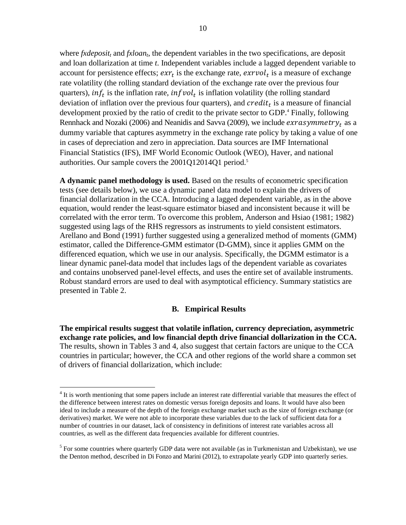where *fxdeposit<sup>t</sup>* and *fxloan<sup>t</sup>* , the dependent variables in the two specifications, are deposit and loan dollarization at time *t*. Independent variables include a lagged dependent variable to account for persistence effects;  $exr_t$  is the exchange rate,  $exrvol_t$  is a measure of exchange rate volatility (the rolling standard deviation of the exchange rate over the previous four quarters), in  $f_t$  is the inflation rate, in  $fvol_t$  is inflation volatility (the rolling standard deviation of inflation over the previous four quarters), and  $credit<sub>t</sub>$  is a measure of financial development proxied by the ratio of credit to the private sector to GDP.<sup>4</sup> Finally, following Rennhack and Nozaki (2006) and Neanidis and Savva (2009), we include  $exrasymmetry_t$  as a dummy variable that captures asymmetry in the exchange rate policy by taking a value of one in cases of depreciation and zero in appreciation. Data sources are IMF International Financial Statistics (IFS), IMF World Economic Outlook (WEO), Haver, and national authorities. Our sample covers the 2001Q12014Q1 period.<sup>5</sup>

**A dynamic panel methodology is used.** Based on the results of econometric specification tests (see details below), we use a dynamic panel data model to explain the drivers of financial dollarization in the CCA. Introducing a lagged dependent variable, as in the above equation, would render the least-square estimator biased and inconsistent because it will be correlated with the error term. To overcome this problem, Anderson and Hsiao (1981; 1982) suggested using lags of the RHS regressors as instruments to yield consistent estimators. Arellano and Bond (1991) further suggested using a generalized method of moments (GMM) estimator, called the Difference-GMM estimator (D-GMM), since it applies GMM on the differenced equation, which we use in our analysis. Specifically, the DGMM estimator is a linear dynamic panel-data model that includes lags of the dependent variable as covariates and contains unobserved panel-level effects, and uses the entire set of available instruments. Robust standard errors are used to deal with asymptotical efficiency. Summary statistics are presented in Table 2.

#### **B. Empirical Results**

<span id="page-9-0"></span>**The empirical results suggest that volatile inflation, currency depreciation, asymmetric exchange rate policies, and low financial depth drive financial dollarization in the CCA.**  The results, shown in Tables 3 and 4, also suggest that certain factors are unique to the CCA countries in particular; however, the CCA and other regions of the world share a common set of drivers of financial dollarization, which include:

 $\overline{a}$ 

<sup>&</sup>lt;sup>4</sup> It is worth mentioning that some papers include an interest rate differential variable that measures the effect of the difference between interest rates on domestic versus foreign deposits and loans. It would have also been ideal to include a measure of the depth of the foreign exchange market such as the size of foreign exchange (or derivatives) market. We were not able to incorporate these variables due to the lack of sufficient data for a number of countries in our dataset, lack of consistency in definitions of interest rate variables across all countries, as well as the different data frequencies available for different countries.

<sup>&</sup>lt;sup>5</sup> For some countries where quarterly GDP data were not available (as in Turkmenistan and Uzbekistan), we use the Denton method, described in Di Fonzo and Marini (2012), to extrapolate yearly GDP into quarterly series.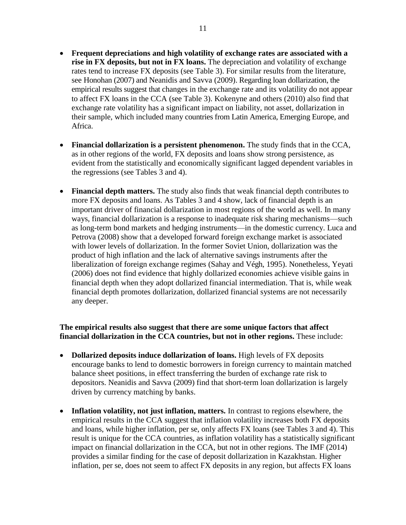- **Frequent depreciations and high volatility of exchange rates are associated with a rise in FX deposits, but not in FX loans.** The depreciation and volatility of exchange rates tend to increase FX deposits (see Table 3). For similar results from the literature, see Honohan (2007) and Neanidis and Savva (2009). Regarding loan dollarization, the empirical results suggest that changes in the exchange rate and its volatility do not appear to affect FX loans in the CCA (see Table 3). Kokenyne and others (2010) also find that exchange rate volatility has a significant impact on liability, not asset, dollarization in their sample, which included many countries from Latin America, Emerging Europe, and Africa.
- **Financial dollarization is a persistent phenomenon.** The study finds that in the CCA, as in other regions of the world, FX deposits and loans show strong persistence, as evident from the statistically and economically significant lagged dependent variables in the regressions (see Tables 3 and 4).
- **Financial depth matters.** The study also finds that weak financial depth contributes to more FX deposits and loans. As Tables 3 and 4 show, lack of financial depth is an important driver of financial dollarization in most regions of the world as well. In many ways, financial dollarization is a response to inadequate risk sharing mechanisms—such as long-term bond markets and hedging instruments—in the domestic currency. Luca and Petrova (2008) show that a developed forward foreign exchange market is associated with lower levels of dollarization. In the former Soviet Union, dollarization was the product of high inflation and the lack of alternative savings instruments after the liberalization of foreign exchange regimes (Sahay and Végh, 1995). Nonetheless, Yeyati (2006) does not find evidence that highly dollarized economies achieve visible gains in financial depth when they adopt dollarized financial intermediation. That is, while weak financial depth promotes dollarization, dollarized financial systems are not necessarily any deeper.

#### **The empirical results also suggest that there are some unique factors that affect financial dollarization in the CCA countries, but not in other regions.** These include:

- **Dollarized deposits induce dollarization of loans.** High levels of FX deposits encourage banks to lend to domestic borrowers in foreign currency to maintain matched balance sheet positions, in effect transferring the burden of exchange rate risk to depositors. Neanidis and Savva (2009) find that short-term loan dollarization is largely driven by currency matching by banks.
- **Inflation volatility, not just inflation, matters.** In contrast to regions elsewhere, the empirical results in the CCA suggest that inflation volatility increases both FX deposits and loans, while higher inflation, per se, only affects FX loans (see Tables 3 and 4). This result is unique for the CCA countries, as inflation volatility has a statistically significant impact on financial dollarization in the CCA, but not in other regions. The IMF (2014) provides a similar finding for the case of deposit dollarization in Kazakhstan. Higher inflation, per se, does not seem to affect FX deposits in any region, but affects FX loans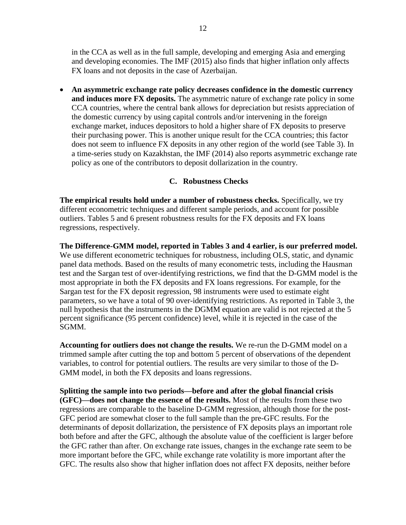in the CCA as well as in the full sample, developing and emerging Asia and emerging and developing economies. The IMF (2015) also finds that higher inflation only affects FX loans and not deposits in the case of Azerbaijan.

 **An asymmetric exchange rate policy decreases confidence in the domestic currency and induces more FX deposits.** The asymmetric nature of exchange rate policy in some CCA countries, where the central bank allows for depreciation but resists appreciation of the domestic currency by using capital controls and/or intervening in the foreign exchange market, induces depositors to hold a higher share of FX deposits to preserve their purchasing power. This is another unique result for the CCA countries; this factor does not seem to influence FX deposits in any other region of the world (see Table 3). In a time-series study on Kazakhstan, the IMF (2014) also reports asymmetric exchange rate policy as one of the contributors to deposit dollarization in the country.

#### **C. Robustness Checks**

<span id="page-11-0"></span>**The empirical results hold under a number of robustness checks.** Specifically, we try different econometric techniques and different sample periods, and account for possible outliers. Tables 5 and 6 present robustness results for the FX deposits and FX loans regressions, respectively.

**The Difference-GMM model, reported in Tables 3 and 4 earlier, is our preferred model.** We use different econometric techniques for robustness, including OLS, static, and dynamic panel data methods. Based on the results of many econometric tests, including the Hausman test and the Sargan test of over-identifying restrictions, we find that the D-GMM model is the most appropriate in both the FX deposits and FX loans regressions. For example, for the Sargan test for the FX deposit regression, 98 instruments were used to estimate eight parameters, so we have a total of 90 over-identifying restrictions. As reported in Table 3, the null hypothesis that the instruments in the DGMM equation are valid is not rejected at the 5 percent significance (95 percent confidence) level, while it is rejected in the case of the SGMM.

**Accounting for outliers does not change the results.** We re-run the D-GMM model on a trimmed sample after cutting the top and bottom 5 percent of observations of the dependent variables, to control for potential outliers. The results are very similar to those of the D-GMM model, in both the FX deposits and loans regressions.

**Splitting the sample into two periods—before and after the global financial crisis (GFC)—does not change the essence of the results.** Most of the results from these two regressions are comparable to the baseline D-GMM regression, although those for the post-GFC period are somewhat closer to the full sample than the pre-GFC results. For the determinants of deposit dollarization, the persistence of FX deposits plays an important role both before and after the GFC, although the absolute value of the coefficient is larger before the GFC rather than after. On exchange rate issues, changes in the exchange rate seem to be more important before the GFC, while exchange rate volatility is more important after the GFC. The results also show that higher inflation does not affect FX deposits, neither before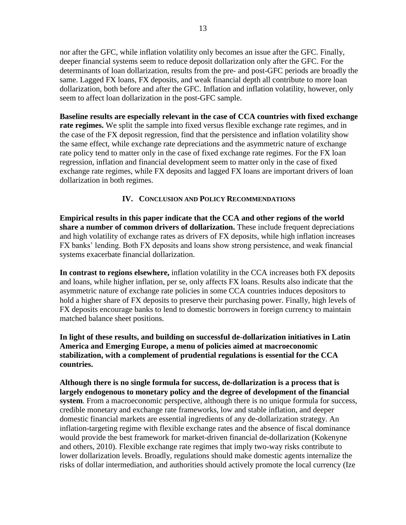nor after the GFC, while inflation volatility only becomes an issue after the GFC. Finally, deeper financial systems seem to reduce deposit dollarization only after the GFC. For the determinants of loan dollarization, results from the pre- and post-GFC periods are broadly the same. Lagged FX loans, FX deposits, and weak financial depth all contribute to more loan dollarization, both before and after the GFC. Inflation and inflation volatility, however, only seem to affect loan dollarization in the post-GFC sample.

**Baseline results are especially relevant in the case of CCA countries with fixed exchange rate regimes.** We split the sample into fixed versus flexible exchange rate regimes, and in the case of the FX deposit regression, find that the persistence and inflation volatility show the same effect, while exchange rate depreciations and the asymmetric nature of exchange rate policy tend to matter only in the case of fixed exchange rate regimes. For the FX loan regression, inflation and financial development seem to matter only in the case of fixed exchange rate regimes, while FX deposits and lagged FX loans are important drivers of loan dollarization in both regimes.

#### **IV. CONCLUSION AND POLICY RECOMMENDATIONS**

<span id="page-12-0"></span>**Empirical results in this paper indicate that the CCA and other regions of the world share a number of common drivers of dollarization.** These include frequent depreciations and high volatility of exchange rates as drivers of FX deposits, while high inflation increases FX banks' lending. Both FX deposits and loans show strong persistence, and weak financial systems exacerbate financial dollarization.

**In contrast to regions elsewhere,** inflation volatility in the CCA increases both FX deposits and loans, while higher inflation, per se, only affects FX loans. Results also indicate that the asymmetric nature of exchange rate policies in some CCA countries induces depositors to hold a higher share of FX deposits to preserve their purchasing power. Finally, high levels of FX deposits encourage banks to lend to domestic borrowers in foreign currency to maintain matched balance sheet positions.

**In light of these results, and building on successful de-dollarization initiatives in Latin America and Emerging Europe, a menu of policies aimed at macroeconomic stabilization, with a complement of prudential regulations is essential for the CCA countries.**

**Although there is no single formula for success, de-dollarization is a process that is largely endogenous to monetary policy and the degree of development of the financial system**. From a macroeconomic perspective, although there is no unique formula for success, credible monetary and exchange rate frameworks, low and stable inflation, and deeper domestic financial markets are essential ingredients of any de-dollarization strategy. An inflation-targeting regime with flexible exchange rates and the absence of fiscal dominance would provide the best framework for market-driven financial de-dollarization (Kokenyne and others, 2010). Flexible exchange rate regimes that imply two-way risks contribute to lower dollarization levels. Broadly, regulations should make domestic agents internalize the risks of dollar intermediation, and authorities should actively promote the local currency (Ize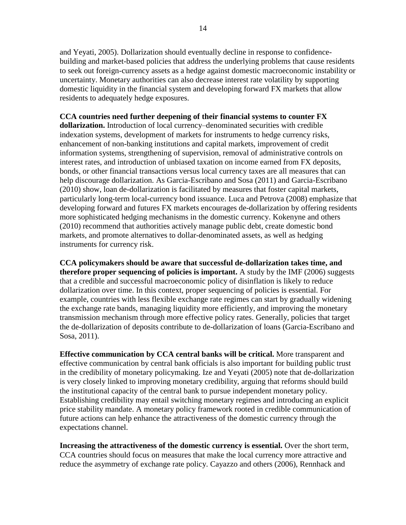and Yeyati, 2005). Dollarization should eventually decline in response to confidencebuilding and market-based policies that address the underlying problems that cause residents to seek out foreign-currency assets as a hedge against domestic macroeconomic instability or uncertainty. Monetary authorities can also decrease interest rate volatility by supporting domestic liquidity in the financial system and developing forward FX markets that allow residents to adequately hedge exposures.

**CCA countries need further deepening of their financial systems to counter FX dollarization.** Introduction of local currency–denominated securities with credible indexation systems, development of markets for instruments to hedge currency risks, enhancement of non-banking institutions and capital markets, improvement of credit information systems, strengthening of supervision, removal of administrative controls on interest rates, and introduction of unbiased taxation on income earned from FX deposits, bonds, or other financial transactions versus local currency taxes are all measures that can help discourage dollarization. As Garcia-Escribano and Sosa (2011) and Garcia-Escribano (2010) show, loan de-dollarization is facilitated by measures that foster capital markets, particularly long-term local-currency bond issuance. Luca and Petrova (2008) emphasize that developing forward and futures FX markets encourages de-dollarization by offering residents more sophisticated hedging mechanisms in the domestic currency. Kokenyne and others (2010) recommend that authorities actively manage public debt, create domestic bond markets, and promote alternatives to dollar-denominated assets, as well as hedging instruments for currency risk.

**CCA policymakers should be aware that successful de-dollarization takes time, and therefore proper sequencing of policies is important.** A study by the IMF (2006) suggests that a credible and successful macroeconomic policy of disinflation is likely to reduce dollarization over time. In this context, proper sequencing of policies is essential. For example, countries with less flexible exchange rate regimes can start by gradually widening the exchange rate bands, managing liquidity more efficiently, and improving the monetary transmission mechanism through more effective policy rates. Generally, policies that target the de-dollarization of deposits contribute to de-dollarization of loans (Garcia-Escribano and Sosa, 2011).

**Effective communication by CCA central banks will be critical.** More transparent and effective communication by central bank officials is also important for building public trust in the credibility of monetary policymaking. Ize and Yeyati (2005) note that de-dollarization is very closely linked to improving monetary credibility, arguing that reforms should build the institutional capacity of the central bank to pursue independent monetary policy. Establishing credibility may entail switching monetary regimes and introducing an explicit price stability mandate. A monetary policy framework rooted in credible communication of future actions can help enhance the attractiveness of the domestic currency through the expectations channel.

**Increasing the attractiveness of the domestic currency is essential.** Over the short term, CCA countries should focus on measures that make the local currency more attractive and reduce the asymmetry of exchange rate policy. Cayazzo and others (2006), Rennhack and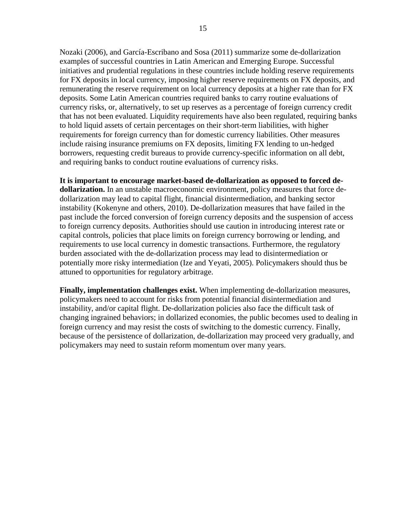Nozaki (2006), and García-Escribano and Sosa (2011) summarize some de-dollarization examples of successful countries in Latin American and Emerging Europe. Successful initiatives and prudential regulations in these countries include holding reserve requirements for FX deposits in local currency, imposing higher reserve requirements on FX deposits, and remunerating the reserve requirement on local currency deposits at a higher rate than for FX deposits. Some Latin American countries required banks to carry routine evaluations of currency risks, or, alternatively, to set up reserves as a percentage of foreign currency credit that has not been evaluated. Liquidity requirements have also been regulated, requiring banks to hold liquid assets of certain percentages on their short-term liabilities, with higher requirements for foreign currency than for domestic currency liabilities. Other measures include raising insurance premiums on FX deposits, limiting FX lending to un-hedged borrowers, requesting credit bureaus to provide currency-specific information on all debt, and requiring banks to conduct routine evaluations of currency risks.

**It is important to encourage market-based de-dollarization as opposed to forced dedollarization.** In an unstable macroeconomic environment, policy measures that force dedollarization may lead to capital flight, financial disintermediation, and banking sector instability (Kokenyne and others, 2010). De-dollarization measures that have failed in the past include the forced conversion of foreign currency deposits and the suspension of access to foreign currency deposits. Authorities should use caution in introducing interest rate or capital controls, policies that place limits on foreign currency borrowing or lending, and requirements to use local currency in domestic transactions. Furthermore, the regulatory burden associated with the de-dollarization process may lead to disintermediation or potentially more risky intermediation (Ize and Yeyati, 2005). Policymakers should thus be attuned to opportunities for regulatory arbitrage.

**Finally, implementation challenges exist.** When implementing de-dollarization measures, policymakers need to account for risks from potential financial disintermediation and instability, and/or capital flight. De-dollarization policies also face the difficult task of changing ingrained behaviors; in dollarized economies, the public becomes used to dealing in foreign currency and may resist the costs of switching to the domestic currency. Finally, because of the persistence of dollarization, de-dollarization may proceed very gradually, and policymakers may need to sustain reform momentum over many years.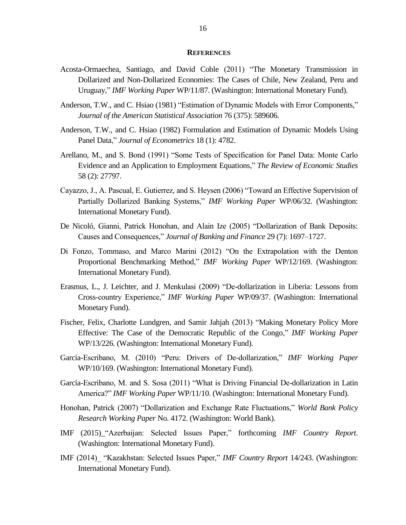#### **REFERENCES**

- <span id="page-15-0"></span>Acosta-Ormaechea, Santiago, and David Coble (2011) "The Monetary Transmission in Dollarized and Non-Dollarized Economies: The Cases of Chile, New Zealand, Peru and Uruguay," *IMF Working Paper* WP/11/87. (Washington: International Monetary Fund).
- Anderson, T.W., and C. Hsiao (1981) "Estimation of Dynamic Models with Error Components," *Journal of the American Statistical Association* 76 (375): 589606.
- Anderson, T.W., and C. Hsiao (1982) Formulation and Estimation of Dynamic Models Using Panel Data," *Journal of Econometrics* 18 (1): 4782.
- Arellano, M., and S. Bond (1991) "Some Tests of Specification for Panel Data: Monte Carlo Evidence and an Application to Employment Equations," *The Review of Economic Studies* 58 (2): 27797.
- Cayazzo, J., A. Pascual, E. Gutierrez, and S. Heysen (2006) "Toward an Effective Supervision of Partially Dollarized Banking Systems," *IMF Working Paper* WP/06/32. (Washington: International Monetary Fund).
- De Nicoló, Gianni, Patrick Honohan, and Alain Ize (2005) "Dollarization of Bank Deposits: Causes and Consequences," *Journal of Banking and Finance* 29 (7): 1697–1727.
- Di Fonzo, Tommaso, and Marco Marini (2012) "On the Extrapolation with the Denton Proportional Benchmarking Method," *IMF Working Paper* WP/12/169. (Washington: International Monetary Fund).
- Erasmus, L., J. Leichter, and J. Menkulasi (2009) "De-dollarization in Liberia: Lessons from Cross-country Experience," *IMF Working Paper* WP/09/37. (Washington: International Monetary Fund).
- Fischer, Felix, Charlotte Lundgren, and Samir Jahjah (2013) "Making Monetary Policy More Effective: The Case of the Democratic Republic of the Congo," *IMF Working Paper* WP/13/226. (Washington: International Monetary Fund).
- García-Escribano, M. (2010) "Peru: Drivers of De-dollarization," *IMF Working Paper* WP/10/169. (Washington: International Monetary Fund).
- García-Escribano, M. and S. Sosa (2011) "What is Driving Financial De-dollarization in Latin America?" *IMF Working Paper* WP/11/10. (Washington: International Monetary Fund).
- Honohan, Patrick (2007) "Dollarization and Exchange Rate Fluctuations," *World Bank Policy Research Working Paper* No. 4172. (Washington: World Bank).
- IMF (2015)\_"Azerbaijan: Selected Issues Paper," forthcoming *IMF Country Report*. (Washington: International Monetary Fund).
- IMF (2014)\_ "Kazakhstan: Selected Issues Paper," *IMF Country Report* 14/243. (Washington: International Monetary Fund).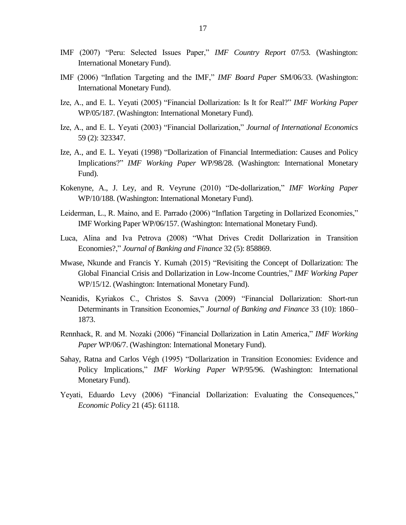- IMF (2007) "Peru: Selected Issues Paper," *IMF Country Report* 07/53. (Washington: International Monetary Fund).
- IMF (2006) "Inflation Targeting and the IMF," *IMF Board Paper* SM/06/33. (Washington: International Monetary Fund).
- Ize, A., and E. L. Yeyati (2005) "Financial Dollarization: Is It for Real?" *IMF Working Paper* WP/05/187. (Washington: International Monetary Fund).
- Ize, A., and E. L. Yeyati (2003) "Financial Dollarization," *Journal of International Economics* 59 (2): 323347.
- Ize, A., and E. L. Yeyati (1998) "Dollarization of Financial Intermediation: Causes and Policy Implications?" *IMF Working Paper* WP/98/28. (Washington: International Monetary Fund).
- Kokenyne, A., J. Ley, and R. Veyrune (2010) "De-dollarization," *IMF Working Paper* WP/10/188. (Washington: International Monetary Fund).
- Leiderman, L., R. Maino, and E. Parrado (2006) "Inflation Targeting in Dollarized Economies," IMF Working Paper WP/06/157. (Washington: International Monetary Fund).
- Luca, Alina and Iva Petrova (2008) "What Drives Credit Dollarization in Transition Economies?," *Journal of Banking and Finance* 32 (5): 858869.
- Mwase, Nkunde and Francis Y. Kumah (2015) "Revisiting the Concept of Dollarization: The Global Financial Crisis and Dollarization in Low-Income Countries," *IMF Working Paper* WP/15/12. (Washington: International Monetary Fund).
- Neanidis, Kyriakos C., Christos S. Savva (2009) "Financial Dollarization: Short-run Determinants in Transition Economies," *Journal of Banking and Finance* 33 (10): 1860– 1873.
- Rennhack, R. and M. Nozaki (2006) "Financial Dollarization in Latin America," *IMF Working Paper* WP/06/7. (Washington: International Monetary Fund).
- Sahay, Ratna and Carlos Végh (1995) "Dollarization in Transition Economies: Evidence and Policy Implications," *IMF Working Paper* WP/95/96. (Washington: International Monetary Fund).
- Yeyati, Eduardo Levy (2006) "Financial Dollarization: Evaluating the Consequences," *Economic Policy* 21 (45): 61118.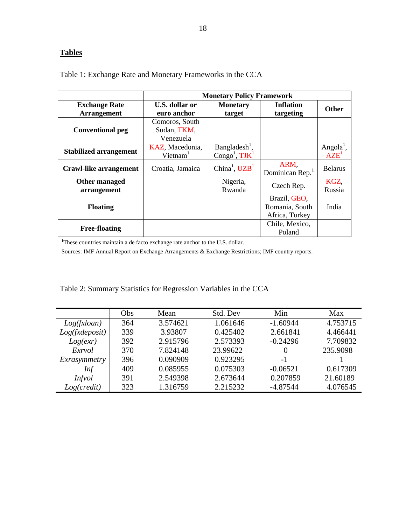# **Tables**

|                                            | <b>Monetary Policy Framework</b>           |                                                |                                                  |                                           |  |  |  |
|--------------------------------------------|--------------------------------------------|------------------------------------------------|--------------------------------------------------|-------------------------------------------|--|--|--|
| <b>Exchange Rate</b><br><b>Arrangement</b> | U.S. dollar or<br>euro anchor              | <b>Monetary</b><br>target                      | <b>Inflation</b><br>targeting                    | <b>Other</b>                              |  |  |  |
| <b>Conventional peg</b>                    | Comoros, South<br>Sudan, TKM,<br>Venezuela |                                                |                                                  |                                           |  |  |  |
| <b>Stabilized arrangement</b>              | KAZ, Macedonia,<br>$V$ ietnam $1$          | $Bangladesh1$ ,<br>Congo <sup>1</sup> , $TIK1$ |                                                  | Angola <sup>1</sup> ,<br>AZE <sup>1</sup> |  |  |  |
| Crawl-like arrangement                     | Croatia, Jamaica                           | China <sup>1</sup> , $UZB1$                    | ARM,<br>Dominican Rep. <sup>1</sup>              | <b>Belarus</b>                            |  |  |  |
| Other managed<br>arrangement               |                                            | Nigeria,<br>Rwanda                             | Czech Rep.                                       | KGZ,<br>Russia                            |  |  |  |
| <b>Floating</b>                            |                                            |                                                | Brazil, GEO.<br>Romania, South<br>Africa, Turkey | India                                     |  |  |  |
| <b>Free-floating</b>                       |                                            |                                                | Chile, Mexico,<br>Poland                         |                                           |  |  |  |

<span id="page-17-0"></span>Table 1: Exchange Rate and Monetary Frameworks in the CCA

<sup>1</sup>These countries maintain a de facto exchange rate anchor to the U.S. dollar.

Sources: IMF Annual Report on Exchange Arrangements & Exchange Restrictions; IMF country reports.

<span id="page-17-1"></span>

| Table 2: Summary Statistics for Regression Variables in the CCA |  |  |  |
|-----------------------------------------------------------------|--|--|--|
|                                                                 |  |  |  |

|                | Obs | Mean     | Std. Dev | Min        | Max      |
|----------------|-----|----------|----------|------------|----------|
| Log(fx loan)   | 364 | 3.574621 | 1.061646 | $-1.60944$ | 4.753715 |
| Log(fxdeposit) | 339 | 3.93807  | 0.425402 | 2.661841   | 4.466441 |
| Log(exr)       | 392 | 2.915796 | 2.573393 | $-0.24296$ | 7.709832 |
| Exrvol         | 370 | 7.824148 | 23.99622 | $\theta$   | 235.9098 |
| Exrasymmetry   | 396 | 0.090909 | 0.923295 | $-1$       |          |
| Inf            | 409 | 0.085955 | 0.075303 | $-0.06521$ | 0.617309 |
| <i>Infvol</i>  | 391 | 2.549398 | 2.673644 | 0.207859   | 21.60189 |
| Log(credit)    | 323 | 1.316759 | 2.215232 | $-4.87544$ | 4.076545 |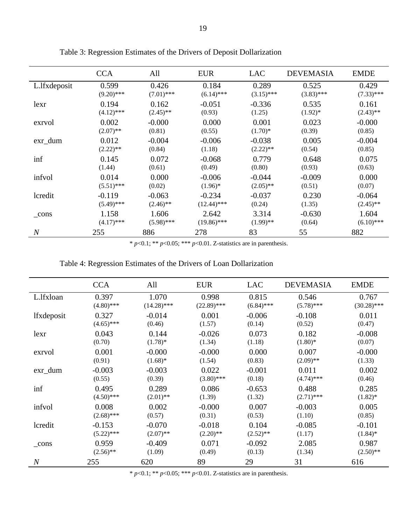|                | <b>CCA</b>   | All          | <b>EUR</b>    | <b>LAC</b>   | <b>DEVEMASIA</b> | <b>EMDE</b>  |
|----------------|--------------|--------------|---------------|--------------|------------------|--------------|
| L.lfxdeposit   | 0.599        | 0.426        | 0.184         | 0.289        | 0.525            | 0.429        |
|                | $(9.20)$ *** | $(7.01)$ *** | $(6.14)$ ***  | $(3.15)$ *** | $(3.83)$ ***     | $(7.33)$ *** |
| lexr           | 0.194        | 0.162        | $-0.051$      | $-0.336$     | 0.535            | 0.161        |
|                | $(4.12)$ *** | $(2.45)$ **  | (0.93)        | (1.25)       | $(1.92)^*$       | $(2.43)$ **  |
| exrvol         | 0.002        | $-0.000$     | 0.000         | 0.001        | 0.023            | $-0.000$     |
|                | $(2.07)$ **  | (0.81)       | (0.55)        | $(1.70)*$    | (0.39)           | (0.85)       |
| $exr_dum$      | 0.012        | $-0.004$     | $-0.006$      | $-0.038$     | 0.005            | $-0.004$     |
|                | $(2.22)$ **  | (0.84)       | (1.18)        | $(2.22)$ **  | (0.54)           | (0.85)       |
| inf            | 0.145        | 0.072        | $-0.068$      | 0.779        | 0.648            | 0.075        |
|                | (1.44)       | (0.61)       | (0.49)        | (0.80)       | (0.93)           | (0.63)       |
| infvol         | 0.014        | 0.000        | $-0.006$      | $-0.044$     | $-0.009$         | 0.000        |
|                | $(5.51)$ *** | (0.02)       | $(1.96)^*$    | $(2.05)$ **  | (0.51)           | (0.07)       |
| lcredit        | $-0.119$     | $-0.063$     | $-0.234$      | $-0.037$     | 0.230            | $-0.064$     |
|                | $(5.49)$ *** | $(2.46)$ **  | $(12.44)$ *** | (0.24)       | (1.35)           | $(2.45)$ **  |
| cons           | 1.158        | 1.606        | 2.642         | 3.314        | $-0.630$         | 1.604        |
|                | $(4.17)$ *** | $(5.98)$ *** | $(19.86)$ *** | $(1.99)$ **  | (0.64)           | $(6.10)$ *** |
| $\overline{N}$ | 255          | 886          | 278           | 83           | 55               | 882          |

<span id="page-18-0"></span>Table 3: Regression Estimates of the Drivers of Deposit Dollarization

\* *p*<0.1; \*\* *p*<0.05; \*\*\* *p*<0.01. Z-statistics are in parenthesis.

## <span id="page-18-1"></span>Table 4: Regression Estimates of the Drivers of Loan Dollarization

|                   | <b>CCA</b>   | All           | <b>EUR</b>    | <b>LAC</b>   | <b>DEVEMASIA</b> | <b>EMDE</b>   |
|-------------------|--------------|---------------|---------------|--------------|------------------|---------------|
| L.lfxloan         | 0.397        | 1.070         | 0.998         | 0.815        | 0.546            | 0.767         |
|                   | $(4.80)$ *** | $(14.28)$ *** | $(22.89)$ *** | $(6.84)$ *** | $(5.78)$ ***     | $(30.28)$ *** |
| <i>lfxdeposit</i> | 0.327        | $-0.014$      | 0.001         | $-0.006$     | $-0.108$         | 0.011         |
|                   | $(4.65)$ *** | (0.46)        | (1.57)        | (0.14)       | (0.52)           | (0.47)        |
| lexr              | 0.043        | 0.144         | $-0.026$      | 0.073        | 0.182            | $-0.008$      |
|                   | (0.70)       | $(1.78)$ *    | (1.34)        | (1.18)       | $(1.80)$ *       | (0.07)        |
| exrvol            | 0.001        | $-0.000$      | $-0.000$      | 0.000        | 0.007            | $-0.000$      |
|                   | (0.91)       | $(1.68)$ *    | (1.54)        | (0.83)       | $(2.09)$ **      | (1.33)        |
| exr_dum           | $-0.003$     | $-0.003$      | 0.022         | $-0.001$     | 0.011            | 0.002         |
|                   | (0.55)       | (0.39)        | $(3.80)$ ***  | (0.18)       | $(4.74)$ ***     | (0.46)        |
| inf               | 0.495        | 0.289         | 0.086         | $-0.653$     | 0.488            | 0.285         |
|                   | $(4.50)$ *** | $(2.01)$ **   | (1.39)        | (1.32)       | $(2.71)$ ***     | $(1.82)^*$    |
| infvol            | 0.008        | 0.002         | $-0.000$      | 0.007        | $-0.003$         | 0.005         |
|                   | $(2.68)$ *** | (0.57)        | (0.31)        | (0.53)       | (1.10)           | (0.85)        |
| lcredit           | $-0.153$     | $-0.070$      | $-0.018$      | 0.104        | $-0.085$         | $-0.101$      |
|                   | $(5.22)$ *** | $(2.07)$ **   | $(2.20)$ **   | $(2.52)$ **  | (1.17)           | $(1.84)$ *    |
| $_{\rm cons}$     | 0.959        | $-0.409$      | 0.071         | $-0.092$     | 2.085            | 0.987         |
|                   | $(2.56)$ **  | (1.09)        | (0.49)        | (0.13)       | (1.34)           | $(2.50)$ **   |
| $\overline{N}$    | 255          | 620           | 89            | 29           | 31               | 616           |

\* *p*<0.1; \*\* *p*<0.05; \*\*\* *p*<0.01. Z-statistics are in parenthesis.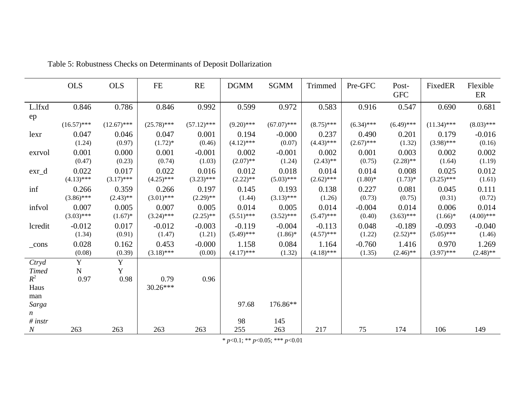<span id="page-19-0"></span>

|                             | <b>OLS</b>    | <b>OLS</b>     | FE            | RE            | <b>DGMM</b>  | SGMM          | Trimmed      | Pre-GFC      | Post-<br><b>GFC</b> | FixedER       | Flexible<br>ER |
|-----------------------------|---------------|----------------|---------------|---------------|--------------|---------------|--------------|--------------|---------------------|---------------|----------------|
| L.lfxd                      | 0.846         | 0.786          | 0.846         | 0.992         | 0.599        | 0.972         | 0.583        | 0.916        | 0.547               | 0.690         | 0.681          |
| ep                          | $(16.57)$ *** | $(12.67)$ ***  | $(25.78)$ *** | $(57.12)$ *** | $(9.20)$ *** | $(67.07)$ *** | $(8.75)$ *** | $(6.34)$ *** | $(6.49)$ ***        | $(11.34)$ *** | $(8.03)$ ***   |
| lexr                        | 0.047         | 0.046          | 0.047         | 0.001         | 0.194        | $-0.000$      | 0.237        | 0.490        | 0.201               | 0.179         | $-0.016$       |
|                             | (1.24)        | (0.97)         | $(1.72)*$     | (0.46)        | $(4.12)$ *** | (0.07)        | $(4.43)$ *** | $(2.67)$ *** | (1.32)              | $(3.98)$ ***  | (0.16)         |
| exrvol                      | 0.001         | 0.000          | 0.001         | $-0.001$      | 0.002        | $-0.001$      | 0.002        | 0.001        | 0.003               | 0.002         | 0.002          |
|                             | (0.47)        | (0.23)         | (0.74)        | (1.03)        | $(2.07)$ **  | (1.24)        | $(2.43)$ **  | (0.75)       | $(2.28)$ **         | (1.64)        | (1.19)         |
| $ext_d$                     | 0.022         | 0.017          | 0.022         | 0.016         | 0.012        | 0.018         | 0.014        | 0.014        | 0.008               | 0.025         | 0.012          |
|                             | $(4.13)$ ***  | $(3.17)$ ***   | $(4.25)$ ***  | $(3.23)$ ***  | $(2.22)$ **  | $(5.03)$ ***  | $(2.62)$ *** | $(1.80)$ *   | $(1.73)*$           | $(3.25)$ ***  | (1.61)         |
| inf                         | 0.266         | 0.359          | 0.266         | 0.197         | 0.145        | 0.193         | 0.138        | 0.227        | 0.081               | 0.045         | 0.111          |
|                             | $(3.86)$ ***  | $(2.43)$ **    | $(3.01)$ ***  | $(2.29)$ **   | (1.44)       | $(3.13)$ ***  | (1.26)       | (0.73)       | (0.75)              | (0.31)        | (0.72)         |
| infvol                      | 0.007         | 0.005          | 0.007         | 0.005         | 0.014        | 0.005         | 0.014        | $-0.004$     | 0.014               | 0.006         | 0.014          |
|                             | $(3.03)$ ***  | $(1.67)^*$     | $(3.24)$ ***  | $(2.25)$ **   | $(5.51)$ *** | $(3.52)$ ***  | $(5.47)$ *** | (0.40)       | $(3.63)$ ***        | $(1.66)$ *    | $(4.00)$ ***   |
| lcredit                     | $-0.012$      | 0.017          | $-0.012$      | $-0.003$      | $-0.119$     | $-0.004$      | $-0.113$     | 0.048        | $-0.189$            | $-0.093$      | $-0.040$       |
|                             | (1.34)        | (0.91)         | (1.47)        | (1.21)        | $(5.49)$ *** | $(1.86)$ *    | $(4.57)$ *** | (1.22)       | $(2.52)$ **         | $(5.05)$ ***  | (1.46)         |
| $_{cons}$                   | 0.028         | 0.162          | 0.453         | $-0.000$      | 1.158        | 0.084         | 1.164        | $-0.760$     | 1.416               | 0.970         | 1.269          |
|                             | (0.08)        | (0.39)         | $(3.18)$ ***  | (0.00)        | $(4.17)$ *** | (1.32)        | $(4.18)$ *** | (1.35)       | $(2.46)$ **         | $(3.97)$ ***  | $(2.48)$ **    |
| Ctryd                       | Y             | $\overline{Y}$ |               |               |              |               |              |              |                     |               |                |
| <b>Timed</b>                | $\mathbf N$   | Y              |               |               |              |               |              |              |                     |               |                |
| $R^2$                       | 0.97          | 0.98           | 0.79          | 0.96          |              |               |              |              |                     |               |                |
| Haus                        |               |                | $30.26***$    |               |              |               |              |              |                     |               |                |
| man                         |               |                |               |               |              |               |              |              |                     |               |                |
| Sarga                       |               |                |               |               | 97.68        | 176.86**      |              |              |                     |               |                |
| $\boldsymbol{n}$<br># instr |               |                |               |               | 98           | 145           |              |              |                     |               |                |
| $\boldsymbol{N}$            | 263           | 263            | 263           | 263           | 255          | 263           | 217          | 75           | 174                 | 106           | 149            |

Table 5: Robustness Checks on Determinants of Deposit Dollarization

\* *p*<0.1; \*\* *p*<0.05; \*\*\* *p*<0.01